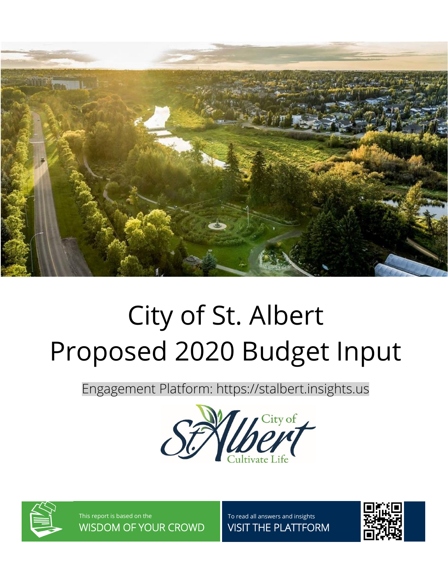

# City of St. Albert Proposed 2020 Budget Input

Engagement Platform: https://stalbert.insights.us





This report is based on the WISDOM OF YOUR CROWD To read all answers and insights VISIT THE PLATTFORM

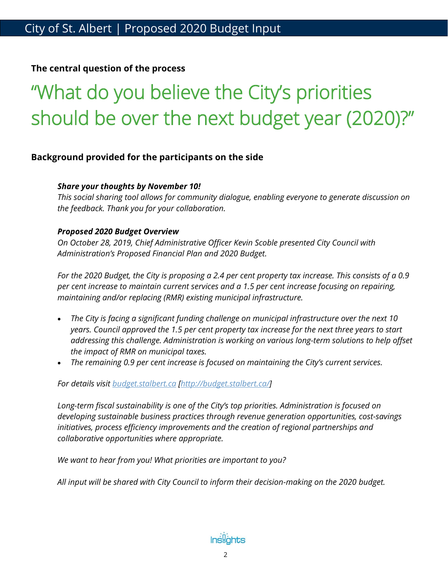#### **The central question of the process**

## "What do you believe the City's priorities should be over the next budget year (2020)?"

#### **Background provided for the participants on the side**

#### *Share your thoughts by November 10!*

*This social sharing tool allows for community dialogue, enabling everyone to generate discussion on the feedback. Thank you for your collaboration.*

#### *Proposed 2020 Budget Overview*

*On October 28, 2019, Chief Administrative Officer Kevin Scoble presented City Council with Administration's Proposed Financial Plan and 2020 Budget.*

*For the 2020 Budget, the City is proposing a 2.4 per cent property tax increase. This consists of a 0.9 per cent increase to maintain current services and a 1.5 per cent increase focusing on repairing, maintaining and/or replacing (RMR) existing municipal infrastructure.*

- *The City is facing a significant funding challenge on municipal infrastructure over the next 10 years. Council approved the 1.5 per cent property tax increase for the next three years to start addressing this challenge. Administration is working on various long-term solutions to help offset the impact of RMR on municipal taxes.*
- *The remaining 0.9 per cent increase is focused on maintaining the City's current services.*

*For details visit [budget.stalbert.ca](http://budget.stalbert.ca/) [\[http://budget.stalbert.ca/\]](http://budget.stalbert.ca/)*

*Long-term fiscal sustainability is one of the City's top priorities. Administration is focused on developing sustainable business practices through revenue generation opportunities, cost-savings initiatives, process efficiency improvements and the creation of regional partnerships and collaborative opportunities where appropriate.*

*We want to hear from you! What priorities are important to you?*

*All input will be shared with City Council to inform their decision-making on the 2020 budget.*

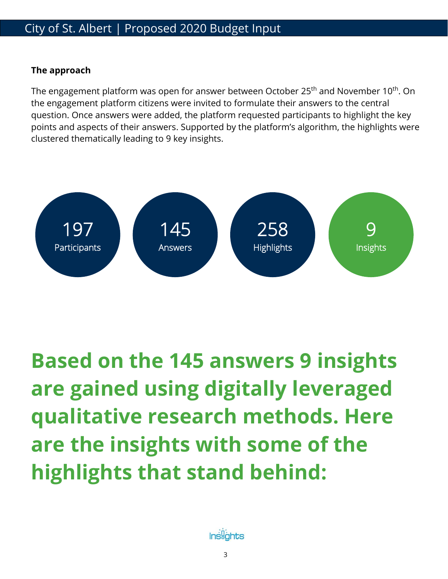### City of St. Albert | Proposed 2020 Budget Input

### **The approach**

The engagement platform was open for answer between October 25<sup>th</sup> and November 10<sup>th</sup>. On the engagement platform citizens were invited to formulate their answers to the central question. Once answers were added, the platform requested participants to highlight the key points and aspects of their answers. Supported by the platform's algorithm, the highlights were clustered thematically leading to 9 key insights.



**Based on the 145 answers 9 insights are gained using digitally leveraged qualitative research methods. Here are the insights with some of the highlights that stand behind:**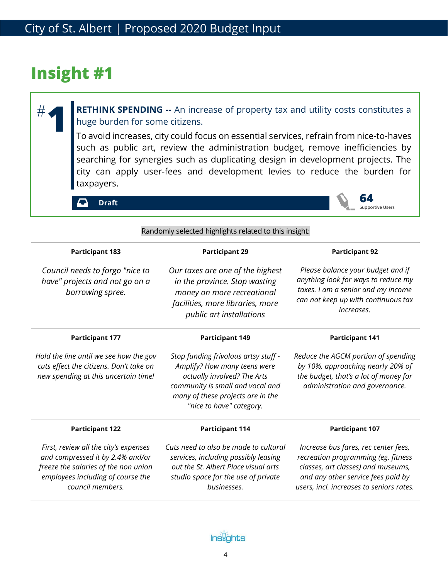**1**

#

**RETHINK SPENDING --** An increase of property tax and utility costs constitutes a huge burden for some citizens.

To avoid increases, city could focus on essential services, refrain from nice-to-haves such as public art, review the administration budget, remove inefficiencies by searching for synergies such as duplicating design in development projects. The city can apply user-fees and development levies to reduce the burden for taxpayers.

> **64** Supportive Users

**Draft**

| Randomly selected highlights related to this insight:                                                                                                                      |                                                                                                                                                                                                          |                                                                                                                                                                                                     |
|----------------------------------------------------------------------------------------------------------------------------------------------------------------------------|----------------------------------------------------------------------------------------------------------------------------------------------------------------------------------------------------------|-----------------------------------------------------------------------------------------------------------------------------------------------------------------------------------------------------|
| <b>Participant 183</b>                                                                                                                                                     | <b>Participant 29</b>                                                                                                                                                                                    | <b>Participant 92</b>                                                                                                                                                                               |
| Council needs to forgo "nice to<br>have" projects and not go on a<br>borrowing spree.                                                                                      | Our taxes are one of the highest<br>in the province. Stop wasting<br>money on more recreational<br>facilities, more libraries, more<br>public art installations                                          | Please balance your budget and if<br>anything look for ways to reduce my<br>taxes. I am a senior and my income<br>can not keep up with continuous tax<br>increases.                                 |
| <b>Participant 177</b>                                                                                                                                                     | <b>Participant 149</b>                                                                                                                                                                                   | <b>Participant 141</b>                                                                                                                                                                              |
| Hold the line until we see how the gov<br>cuts effect the citizens. Don't take on<br>new spending at this uncertain time!                                                  | Stop funding frivolous artsy stuff -<br>Amplify? How many teens were<br>actually involved? The Arts<br>community is small and vocal and<br>many of these projects are in the<br>"nice to have" category. | Reduce the AGCM portion of spending<br>by 10%, approaching nearly 20% of<br>the budget, that's a lot of money for<br>administration and governance.                                                 |
| <b>Participant 122</b>                                                                                                                                                     | <b>Participant 114</b>                                                                                                                                                                                   | <b>Participant 107</b>                                                                                                                                                                              |
| First, review all the city's expenses<br>and compressed it by 2.4% and/or<br>freeze the salaries of the non union<br>employees including of course the<br>council members. | Cuts need to also be made to cultural<br>services, including possibly leasing<br>out the St. Albert Place visual arts<br>studio space for the use of private<br>businesses.                              | Increase bus fares, rec center fees,<br>recreation programming (eg. fitness<br>classes, art classes) and museums,<br>and any other service fees paid by<br>users, incl. increases to seniors rates. |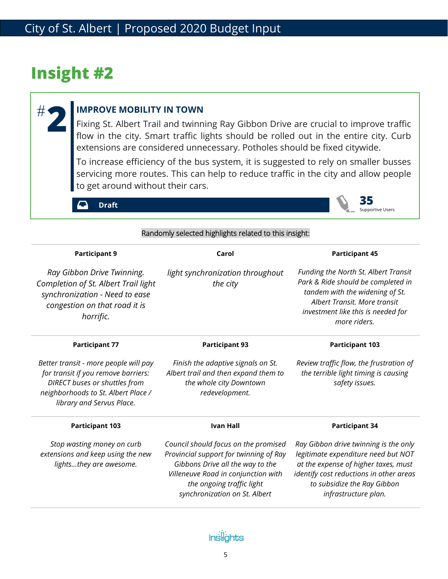**2**

#

#### **IMPROVE MOBILITY IN TOWN**

Fixing St. Albert Trail and twinning Ray Gibbon Drive are crucial to improve traffic flow in the city. Smart traffic lights should be rolled out in the entire city. Curb extensions are considered unnecessary. Potholes should be fixed citywide.

To increase efficiency of the bus system, it is suggested to rely on smaller busses servicing more routes. This can help to reduce traffic in the city and allow people to get around without their cars.

> **35** Supportive Users

 $\Gamma$ **Draft**

| Randomly selected highlights related to this insight:                                                                                                                             |                                                                                                                                                                                                                         |                                                                                                                                                                                                                        |
|-----------------------------------------------------------------------------------------------------------------------------------------------------------------------------------|-------------------------------------------------------------------------------------------------------------------------------------------------------------------------------------------------------------------------|------------------------------------------------------------------------------------------------------------------------------------------------------------------------------------------------------------------------|
| <b>Participant 9</b>                                                                                                                                                              | Carol                                                                                                                                                                                                                   | <b>Participant 45</b>                                                                                                                                                                                                  |
| Ray Gibbon Drive Twinning.<br>Completion of St. Albert Trail light<br>synchronization - Need to ease<br>congestion on that road it is<br>horrific.                                | light synchronization throughout<br>the city                                                                                                                                                                            | Funding the North St. Albert Transit<br>Park & Ride should be completed in<br>tandem with the widening of St.<br>Albert Transit. More transit<br>investment like this is needed for<br>more riders.                    |
| <b>Participant 77</b>                                                                                                                                                             | <b>Participant 93</b>                                                                                                                                                                                                   | <b>Participant 103</b>                                                                                                                                                                                                 |
| Better transit - more people will pay<br>for transit if you remove barriers:<br>DIRECT buses or shuttles from<br>neighborhoods to St. Albert Place /<br>library and Servus Place. | Finish the adaptive signals on St.<br>Albert trail and then expand them to<br>the whole city Downtown<br>redevelopment.                                                                                                 | Review traffic flow, the frustration of<br>the terrible light timing is causing<br>safety issues.                                                                                                                      |
| <b>Participant 103</b>                                                                                                                                                            | <b>Ivan Hall</b>                                                                                                                                                                                                        | <b>Participant 34</b>                                                                                                                                                                                                  |
| Stop wasting money on curb<br>extensions and keep using the new<br>lightsthey are awesome.                                                                                        | Council should focus on the promised<br>Provincial support for twinning of Ray<br>Gibbons Drive all the way to the<br>Villeneuve Road in conjunction with<br>the ongoing traffic light<br>synchronization on St. Albert | Ray Gibbon drive twinning is the only<br>legitimate expenditure need but NOT<br>at the expense of higher taxes, must<br>identify cost reductions in other areas<br>to subsidize the Ray Gibbon<br>infrastructure plan. |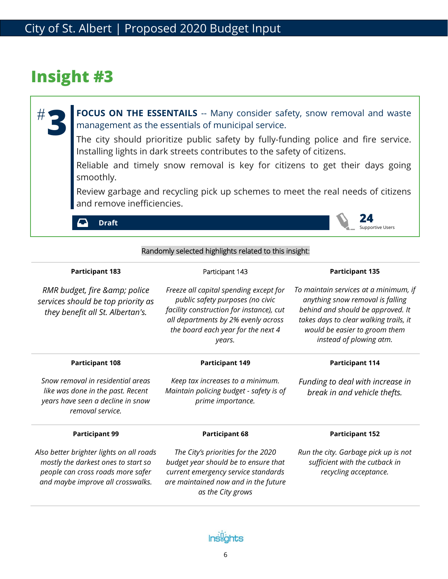#

FOCUS ON THE ESSENTAILS -- Many consider safety, snow removal and waste management as the essentials of municipal service. **3**

The city should prioritize public safety by fully-funding police and fire service. Installing lights in dark streets contributes to the safety of citizens.

Reliable and timely snow removal is key for citizens to get their days going smoothly.

Review garbage and recycling pick up schemes to meet the real needs of citizens and remove inefficiencies.

> **24** Supportive Users

O **Draft**

| Randomly selected highlights related to this insight:                                                                                                     |                                                                                                                                                                                                               |                                                                                                                                                                                                                      |
|-----------------------------------------------------------------------------------------------------------------------------------------------------------|---------------------------------------------------------------------------------------------------------------------------------------------------------------------------------------------------------------|----------------------------------------------------------------------------------------------------------------------------------------------------------------------------------------------------------------------|
| <b>Participant 183</b>                                                                                                                                    | Participant 143                                                                                                                                                                                               | <b>Participant 135</b>                                                                                                                                                                                               |
| RMR budget, fire & police<br>services should be top priority as<br>they benefit all St. Albertan's.                                                       | Freeze all capital spending except for<br>public safety purposes (no civic<br>facility construction for instance), cut<br>all departments by 2% evenly across<br>the board each year for the next 4<br>years. | To maintain services at a minimum, if<br>anything snow removal is falling<br>behind and should be approved. It<br>takes days to clear walking trails, it<br>would be easier to groom them<br>instead of plowing atm. |
| <b>Participant 108</b>                                                                                                                                    | <b>Participant 149</b>                                                                                                                                                                                        | <b>Participant 114</b>                                                                                                                                                                                               |
| Snow removal in residential areas<br>like was done in the past. Recent<br>years have seen a decline in snow<br>removal service.                           | Keep tax increases to a minimum.<br>Maintain policing budget - safety is of<br>prime importance.                                                                                                              | Funding to deal with increase in<br>break in and vehicle thefts.                                                                                                                                                     |
| <b>Participant 99</b>                                                                                                                                     | <b>Participant 68</b>                                                                                                                                                                                         | <b>Participant 152</b>                                                                                                                                                                                               |
| Also better brighter lights on all roads<br>mostly the darkest ones to start so<br>people can cross roads more safer<br>and maybe improve all crosswalks. | The City's priorities for the 2020<br>budget year should be to ensure that<br>current emergency service standards<br>are maintained now and in the future<br>as the City grows                                | Run the city. Garbage pick up is not<br>sufficient with the cutback in<br>recycling acceptance.                                                                                                                      |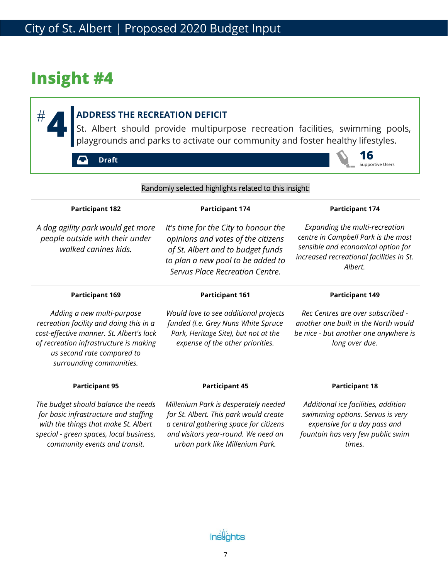#

### **ADDRESS THE RECREATION DEFICIT**

**EXECTED ADDRESS THE RECREATION DEFICIT**<br>St. Albert should provide multipurpose recreation facilities, swimming pools,<br>playgrounds and parks to activate our community and foster healthy lifestyles.

**Draft**



| Randomly selected highlights related to this insight:                                                                                                                                                                 |                                                                                                                                                                                                    |                                                                                                                                                                    |
|-----------------------------------------------------------------------------------------------------------------------------------------------------------------------------------------------------------------------|----------------------------------------------------------------------------------------------------------------------------------------------------------------------------------------------------|--------------------------------------------------------------------------------------------------------------------------------------------------------------------|
| <b>Participant 182</b>                                                                                                                                                                                                | <b>Participant 174</b>                                                                                                                                                                             | <b>Participant 174</b>                                                                                                                                             |
| A dog agility park would get more<br>people outside with their under<br>walked canines kids.                                                                                                                          | It's time for the City to honour the<br>opinions and votes of the citizens<br>of St. Albert and to budget funds<br>to plan a new pool to be added to<br>Servus Place Recreation Centre.            | Expanding the multi-recreation<br>centre in Campbell Park is the most<br>sensible and economical option for<br>increased recreational facilities in St.<br>Albert. |
| <b>Participant 169</b>                                                                                                                                                                                                | <b>Participant 161</b>                                                                                                                                                                             | <b>Participant 149</b>                                                                                                                                             |
| Adding a new multi-purpose<br>recreation facility and doing this in a<br>cost-effective manner. St. Albert's lack<br>of recreation infrastructure is making<br>us second rate compared to<br>surrounding communities. | Would love to see additional projects<br>funded (I.e. Grey Nuns White Spruce<br>Park, Heritage Site), but not at the<br>expense of the other priorities.                                           | Rec Centres are over subscribed -<br>another one built in the North would<br>be nice - but another one anywhere is<br>long over due.                               |
| <b>Participant 95</b>                                                                                                                                                                                                 | <b>Participant 45</b>                                                                                                                                                                              | <b>Participant 18</b>                                                                                                                                              |
| The budget should balance the needs<br>for basic infrastructure and staffing<br>with the things that make St. Albert<br>special - green spaces, local business,<br>community events and transit.                      | Millenium Park is desperately needed<br>for St. Albert. This park would create<br>a central gathering space for citizens<br>and visitors year-round. We need an<br>urban park like Millenium Park. | Additional ice facilities, addition<br>swimming options. Servus is very<br>expensive for a day pass and<br>fountain has very few public swim<br>times.             |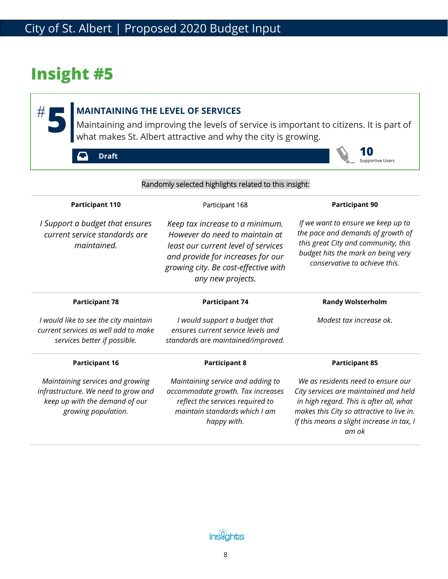$#$ 

### **MAINTAINING THE LEVEL OF SERVICES**

**MAINTAINING THE LEVEL OF SERVICES**<br>Maintaining and improving the levels of service is important to citizens. It is part of what makes St. Albert attractive and why the city is growing.

**10** Supportive Users

**Draft**  $\boldsymbol{\mathsf{C}}$ 

| Randomly selected highlights related to this insight:                                                                            |                                                                                                                                                                                                            |                                                                                                                                                                                                                           |
|----------------------------------------------------------------------------------------------------------------------------------|------------------------------------------------------------------------------------------------------------------------------------------------------------------------------------------------------------|---------------------------------------------------------------------------------------------------------------------------------------------------------------------------------------------------------------------------|
| <b>Participant 110</b>                                                                                                           | Participant 168                                                                                                                                                                                            | <b>Participant 90</b>                                                                                                                                                                                                     |
| I Support a budget that ensures<br>current service standards are<br>maintained.                                                  | Keep tax increase to a minimum.<br>However do need to maintain at<br>least our current level of services<br>and provide for increases for our<br>growing city. Be cost-effective with<br>any new projects. | If we want to ensure we keep up to<br>the pace and demands of growth of<br>this great City and community, this<br>budget hits the mark on being very<br>conservative to achieve this.                                     |
| <b>Participant 78</b>                                                                                                            | <b>Participant 74</b>                                                                                                                                                                                      | <b>Randy Wolsterholm</b>                                                                                                                                                                                                  |
| I would like to see the city maintain<br>current services as well add to make<br>services better if possible.                    | I would support a budget that<br>ensures current service levels and<br>standards are maintained/improved.                                                                                                  | Modest tax increase ok.                                                                                                                                                                                                   |
| <b>Participant 16</b>                                                                                                            | <b>Participant 8</b>                                                                                                                                                                                       | <b>Participant 85</b>                                                                                                                                                                                                     |
| Maintaining services and growing<br>infrastructure. We need to grow and<br>keep up with the demand of our<br>growing population. | Maintaining service and adding to<br>accommodate growth. Tax increases<br>reflect the services required to<br>maintain standards which I am<br>happy with.                                                 | We as residents need to ensure our<br>City services are maintained and held<br>in high regard. This is after all, what<br>makes this City so attractive to live in.<br>If this means a slight increase in tax, I<br>am ok |

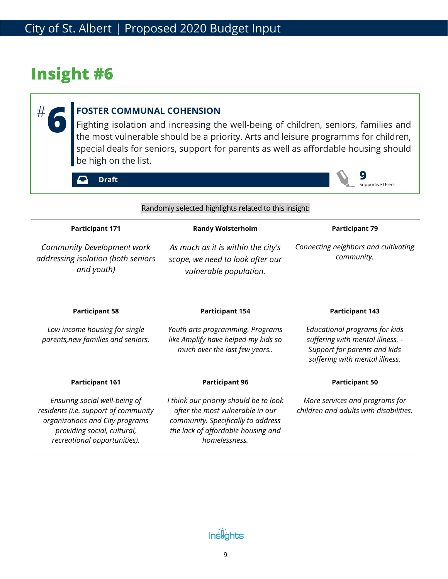**6**

#

### **FOSTER COMMUNAL COHENSION**

Fighting isolation and increasing the well-being of children, seniors, families and the most vulnerable should be a priority. Arts and leisure programms for children, special deals for seniors, support for parents as well as affordable housing should be high on the list.

**9**

Supportive Users

**Draft**

| Randomly selected highlights related to this insight:                                                                                                                   |                                                                                                                                                                         |                                                                                                                                     |
|-------------------------------------------------------------------------------------------------------------------------------------------------------------------------|-------------------------------------------------------------------------------------------------------------------------------------------------------------------------|-------------------------------------------------------------------------------------------------------------------------------------|
| <b>Participant 171</b>                                                                                                                                                  | <b>Randy Wolsterholm</b>                                                                                                                                                | <b>Participant 79</b>                                                                                                               |
| Community Development work<br>addressing isolation (both seniors<br>and youth)                                                                                          | As much as it is within the city's<br>scope, we need to look after our<br>vulnerable population.                                                                        | Connecting neighbors and cultivating<br>community.                                                                                  |
| <b>Participant 58</b>                                                                                                                                                   | <b>Participant 154</b>                                                                                                                                                  | <b>Participant 143</b>                                                                                                              |
| Low income housing for single<br>parents, new families and seniors.                                                                                                     | Youth arts programming. Programs<br>like Amplify have helped my kids so<br>much over the last few years                                                                 | Educational programs for kids<br>suffering with mental illness. -<br>Support for parents and kids<br>suffering with mental illness. |
| <b>Participant 161</b>                                                                                                                                                  | <b>Participant 96</b>                                                                                                                                                   | <b>Participant 50</b>                                                                                                               |
| Ensuring social well-being of<br>residents (i.e. support of community<br>organizations and City programs<br>providing social, cultural,<br>recreational opportunities). | I think our priority should be to look<br>after the most vulnerable in our<br>community. Specifically to address<br>the lack of affordable housing and<br>homelessness. | More services and programs for<br>children and adults with disabilities.                                                            |

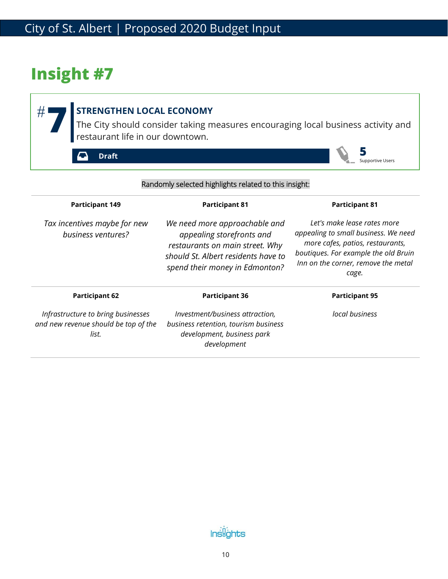#### **STRENGTHEN LOCAL ECONOMY THE CITY STRENGTHEN LOCAL ECONOMY**<br>The City should consider taking measures encouraging local business activity and restaurant life in our downtown.  $#^{\scriptscriptstyle\mathsf{I}}$ **5 Draft**  $\boldsymbol{\mathsf{C}}$ Supportive Users

| Randomly selected highlights related to this insight:                               |                                                                                                                                                                        |                                                                                                                                                                                                 |
|-------------------------------------------------------------------------------------|------------------------------------------------------------------------------------------------------------------------------------------------------------------------|-------------------------------------------------------------------------------------------------------------------------------------------------------------------------------------------------|
| <b>Participant 149</b>                                                              | <b>Participant 81</b>                                                                                                                                                  | <b>Participant 81</b>                                                                                                                                                                           |
| Tax incentives maybe for new<br>business ventures?                                  | We need more approachable and<br>appealing storefronts and<br>restaurants on main street. Why<br>should St. Albert residents have to<br>spend their money in Edmonton? | Let's make lease rates more<br>appealing to small business. We need<br>more cafes, patios, restaurants,<br>boutiques. For example the old Bruin<br>Inn on the corner, remove the metal<br>cage. |
| <b>Participant 62</b>                                                               | <b>Participant 36</b>                                                                                                                                                  | <b>Participant 95</b>                                                                                                                                                                           |
| Infrastructure to bring businesses<br>and new revenue should be top of the<br>list. | Investment/business attraction,<br>business retention, tourism business<br>development, business park<br>development                                                   | local business                                                                                                                                                                                  |

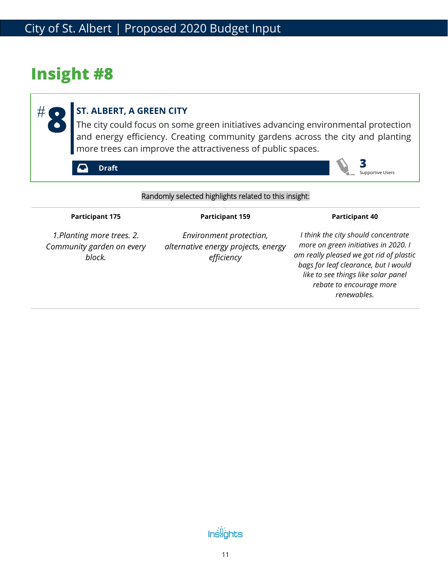**8**

#

### **ST. ALBERT, A GREEN CITY**

The city could focus on some green initiatives advancing environmental protection and energy efficiency. Creating community gardens across the city and planting more trees can improve the attractiveness of public spaces.

**Draft**

Supportive Users

**3**

#### Randomly selected highlights related to this insight:

#### **Participant 175**

#### **Participant 159**

*1.Planting more trees. 2. Community garden on every block.*

*Environment protection, alternative energy projects, energy efficiency*

*I think the city should concentrate more on green initiatives in 2020. I am really pleased we got rid of plastic bags for leaf clearance, but I would like to see things like solar panel rebate to encourage more renewables.* 

**Participant 40**